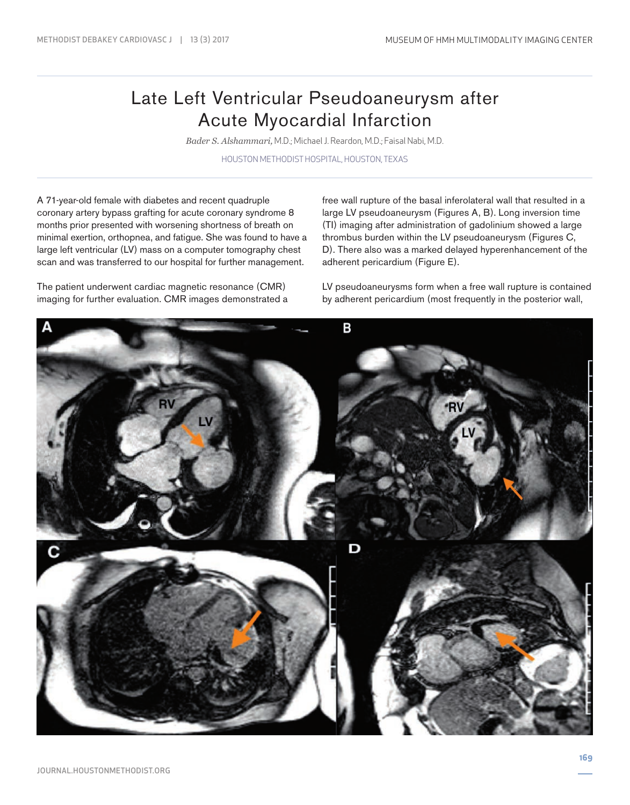## Late Left Ventricular Pseudoaneurysm after Acute Myocardial Infarction

*Bader S. Alshammari,* M.D.; Michael J. Reardon, M.D.; Faisal Nabi, M.D.

HOUSTON METHODIST HOSPITAL, HOUSTON, TEXAS

A 71-year-old female with diabetes and recent quadruple coronary artery bypass grafting for acute coronary syndrome 8 months prior presented with worsening shortness of breath on minimal exertion, orthopnea, and fatigue. She was found to have a large left ventricular (LV) mass on a computer tomography chest scan and was transferred to our hospital for further management.

The patient underwent cardiac magnetic resonance (CMR) imaging for further evaluation. CMR images demonstrated a free wall rupture of the basal inferolateral wall that resulted in a large LV pseudoaneurysm (Figures A, B). Long inversion time (TI) imaging after administration of gadolinium showed a large thrombus burden within the LV pseudoaneurysm (Figures C, D). There also was a marked delayed hyperenhancement of the adherent pericardium (Figure E).

LV pseudoaneurysms form when a free wall rupture is contained by adherent pericardium (most frequently in the posterior wall,

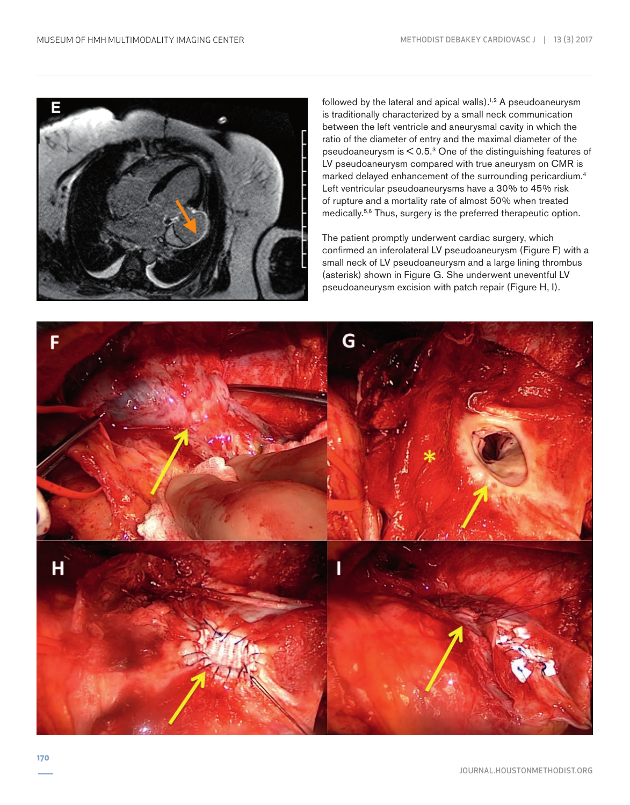

followed by the lateral and apical walls).<sup>1,2</sup> A pseudoaneurysm is traditionally characterized by a small neck communication between the left ventricle and aneurysmal cavity in which the ratio of the diameter of entry and the maximal diameter of the pseudoaneurysm is < 0.5.3 One of the distinguishing features of LV pseudoaneurysm compared with true aneurysm on CMR is marked delayed enhancement of the surrounding pericardium.4 Left ventricular pseudoaneurysms have a 30% to 45% risk of rupture and a mortality rate of almost 50% when treated medically.5,6 Thus, surgery is the preferred therapeutic option.

The patient promptly underwent cardiac surgery, which confirmed an inferolateral LV pseudoaneurysm (Figure F) with a small neck of LV pseudoaneurysm and a large lining thrombus (asterisk) shown in Figure G. She underwent uneventful LV pseudoaneurysm excision with patch repair (Figure H, I).